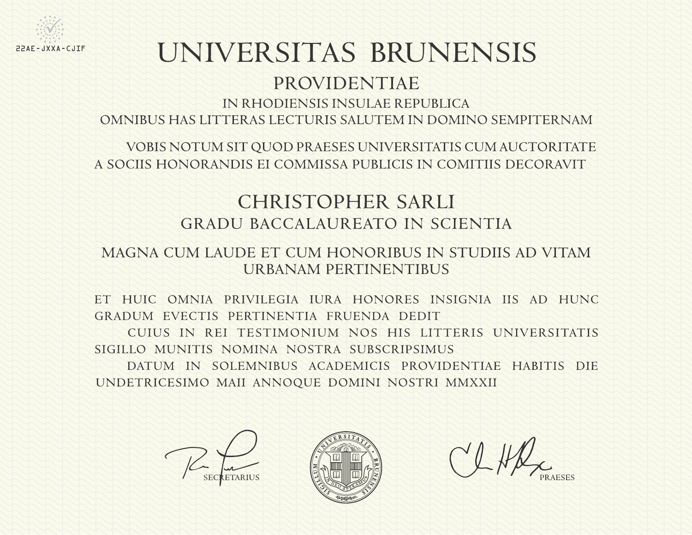

# UNIVERSITAS BRUNENSIS

# PROVIDENTIAE

IN RHODIENSIS INSULAE REPUBLICA

OMNIBUS HAS LITTERAS LECTURIS SALUTEM IN DOMINO SEMPITERNAM

VOBIS NOTUM SIT QUOD PRAESES UNIVERSITATIS CUM AUCTORITATE A SOCIIS HONORANDIS EI COMMISSA PUBLICIS IN COMITIIS DECORAVIT

# **CHRISTOPHER SARLI GRADU BACCALAUREATO IN SCIENTIA**

## MAGNA CUM LAUDE ET CUM HONORIBUS IN STUDIIS AD VITAM URBANAM PERTINENTIBUS

ET HUIC OMNIA PRIVILEGIA IURA HONORES INSIGNIA IIS AD HUNC GRADUM EVECTIS PERTINENTIA FRUENDA DEDIT

CUIUS IN REL TESTIMONIUM NOS HIS LITTERIS UNIVERSITATIS SIGILLO MUNITIS NOMINA NOSTRA SUBSCRIPSIMUS

DATUM IN SOLEMNIBUS ACADEMICIS PROVIDENTIAE HABITIS DIE UNDETRICESIMO MAII ANNOQUE DOMINI NOSTRI MMXXII



COHR